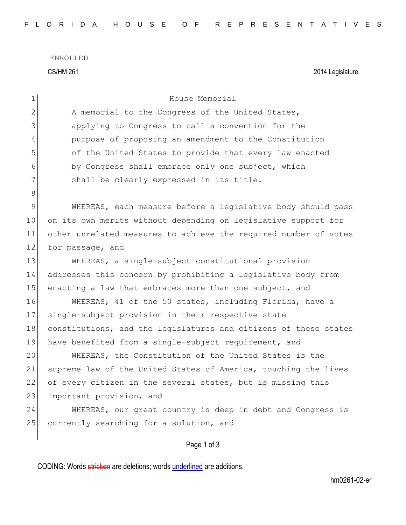ENROLLED CS/HM 261 2014 Legislature

| 1            | House Memorial                                                   |
|--------------|------------------------------------------------------------------|
| $\mathbf{2}$ | A memorial to the Congress of the United States,                 |
| 3            | applying to Congress to call a convention for the                |
| 4            | purpose of proposing an amendment to the Constitution            |
| 5            | of the United States to provide that every law enacted           |
| 6            | by Congress shall embrace only one subject, which                |
| 7            | shall be clearly expressed in its title.                         |
| 8            |                                                                  |
| $\mathsf 9$  | WHEREAS, each measure before a legislative body should pass      |
| 10           | on its own merits without depending on legislative support for   |
| 11           | other unrelated measures to achieve the required number of votes |
| 12           | for passage, and                                                 |
| 13           | WHEREAS, a single-subject constitutional provision               |
| 14           | addresses this concern by prohibiting a legislative body from    |
| 15           | enacting a law that embraces more than one subject, and          |
| 16           | WHEREAS, 41 of the 50 states, including Florida, have a          |
| 17           | single-subject provision in their respective state               |
| 18           | constitutions, and the legislatures and citizens of these states |
| 19           | have benefited from a single-subject requirement, and            |
| 20           | WHEREAS, the Constitution of the United States is the            |
| 21           | supreme law of the United States of America, touching the lives  |
| 22           | of every citizen in the several states, but is missing this      |
| 23           | important provision, and                                         |
| 24           | WHEREAS, our great country is deep in debt and Congress is       |
| 25           | currently searching for a solution, and                          |
|              |                                                                  |
|              | Page 1 of 3                                                      |

CODING: Words stricken are deletions; words underlined are additions.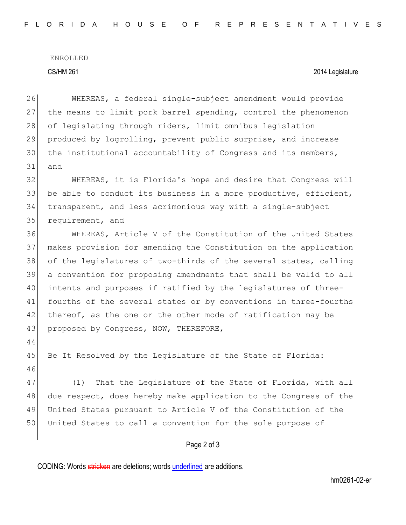# ENROLLED

### CS/HM 261 2014 Legislature

26 WHEREAS, a federal single-subject amendment would provide 27 the means to limit pork barrel spending, control the phenomenon 28 of legislating through riders, limit omnibus legislation 29 produced by logrolling, prevent public surprise, and increase 30 | the institutional accountability of Congress and its members, 31 and 32 WHEREAS, it is Florida's hope and desire that Congress will 33 be able to conduct its business in a more productive, efficient,

34 transparent, and less acrimonious way with a single-subject 35 requirement, and

36 WHEREAS, Article V of the Constitution of the United States 37 makes provision for amending the Constitution on the application 38 of the legislatures of two-thirds of the several states, calling 39 a convention for proposing amendments that shall be valid to all 40 | intents and purposes if ratified by the legislatures of three-41 fourths of the several states or by conventions in three-fourths 42 thereof, as the one or the other mode of ratification may be 43 proposed by Congress, NOW, THEREFORE,

44

45 Be It Resolved by the Legislature of the State of Florida: 46

47 (1) That the Legislature of the State of Florida, with all 48 due respect, does hereby make application to the Congress of the 49 United States pursuant to Article V of the Constitution of the 50 United States to call a convention for the sole purpose of

## Page 2 of 3

CODING: Words stricken are deletions; words underlined are additions.